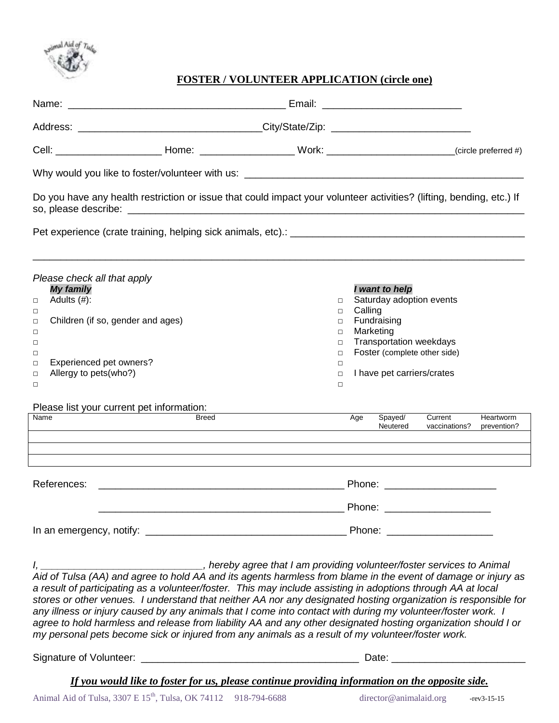

# **FOSTER / VOLUNTEER APPLICATION (circle one)**

| Cell: ________________________________Home: _________________________Work: ______________________________(circle preferred #)                                                                                                                                                                                                                                                                                                                                                                                                                                                                                                                                                                                                                                                                                                                                      |                                                                              |                                                                                                                                                                                   |                     |                          |                          |  |  |
|--------------------------------------------------------------------------------------------------------------------------------------------------------------------------------------------------------------------------------------------------------------------------------------------------------------------------------------------------------------------------------------------------------------------------------------------------------------------------------------------------------------------------------------------------------------------------------------------------------------------------------------------------------------------------------------------------------------------------------------------------------------------------------------------------------------------------------------------------------------------|------------------------------------------------------------------------------|-----------------------------------------------------------------------------------------------------------------------------------------------------------------------------------|---------------------|--------------------------|--------------------------|--|--|
|                                                                                                                                                                                                                                                                                                                                                                                                                                                                                                                                                                                                                                                                                                                                                                                                                                                                    |                                                                              |                                                                                                                                                                                   |                     |                          |                          |  |  |
| Do you have any health restriction or issue that could impact your volunteer activities? (lifting, bending, etc.) If                                                                                                                                                                                                                                                                                                                                                                                                                                                                                                                                                                                                                                                                                                                                               |                                                                              |                                                                                                                                                                                   |                     |                          |                          |  |  |
|                                                                                                                                                                                                                                                                                                                                                                                                                                                                                                                                                                                                                                                                                                                                                                                                                                                                    |                                                                              |                                                                                                                                                                                   |                     |                          |                          |  |  |
| Please check all that apply<br>My family<br>Adults (#):<br>$\Box$<br>$\Box$<br>Children (if so, gender and ages)<br>$\Box$<br>$\Box$<br>$\Box$<br>$\Box$<br>Experienced pet owners?<br>$\Box$<br>Allergy to pets(who?)<br>$\Box$<br>$\Box$                                                                                                                                                                                                                                                                                                                                                                                                                                                                                                                                                                                                                         | $\Box$<br>$\Box$<br>$\Box$<br>$\Box$<br>$\Box$<br>$\Box$<br>□<br>$\Box$<br>□ | I want to help<br>Saturday adoption events<br>Calling<br>Fundraising<br>Marketing<br><b>Transportation weekdays</b><br>Foster (complete other side)<br>I have pet carriers/crates |                     |                          |                          |  |  |
| Please list your current pet information:<br><b>Breed</b><br>Name                                                                                                                                                                                                                                                                                                                                                                                                                                                                                                                                                                                                                                                                                                                                                                                                  |                                                                              | Age                                                                                                                                                                               | Spayed/<br>Neutered | Current<br>vaccinations? | Heartworm<br>prevention? |  |  |
| References:                                                                                                                                                                                                                                                                                                                                                                                                                                                                                                                                                                                                                                                                                                                                                                                                                                                        |                                                                              |                                                                                                                                                                                   |                     |                          |                          |  |  |
|                                                                                                                                                                                                                                                                                                                                                                                                                                                                                                                                                                                                                                                                                                                                                                                                                                                                    |                                                                              |                                                                                                                                                                                   |                     |                          |                          |  |  |
|                                                                                                                                                                                                                                                                                                                                                                                                                                                                                                                                                                                                                                                                                                                                                                                                                                                                    |                                                                              |                                                                                                                                                                                   |                     |                          |                          |  |  |
| hereby agree that I am providing volunteer/foster services to Animal<br>Aid of Tulsa (AA) and agree to hold AA and its agents harmless from blame in the event of damage or injury as<br>a result of participating as a volunteer/foster. This may include assisting in adoptions through AA at local<br>stores or other venues. I understand that neither AA nor any designated hosting organization is responsible for<br>any illness or injury caused by any animals that I come into contact with during my volunteer/foster work. I<br>agree to hold harmless and release from liability AA and any other designated hosting organization should I or<br>my personal pets become sick or injured from any animals as a result of my volunteer/foster work.<br>If you would like to foster for us, please continue providing information on the opposite side. |                                                                              |                                                                                                                                                                                   |                     |                          |                          |  |  |

Animal Aid of Tulsa, 3307 E 15<sup>th</sup>, Tulsa, OK 74112 918-794-6688 director@animalaid.org -rev3-15-15